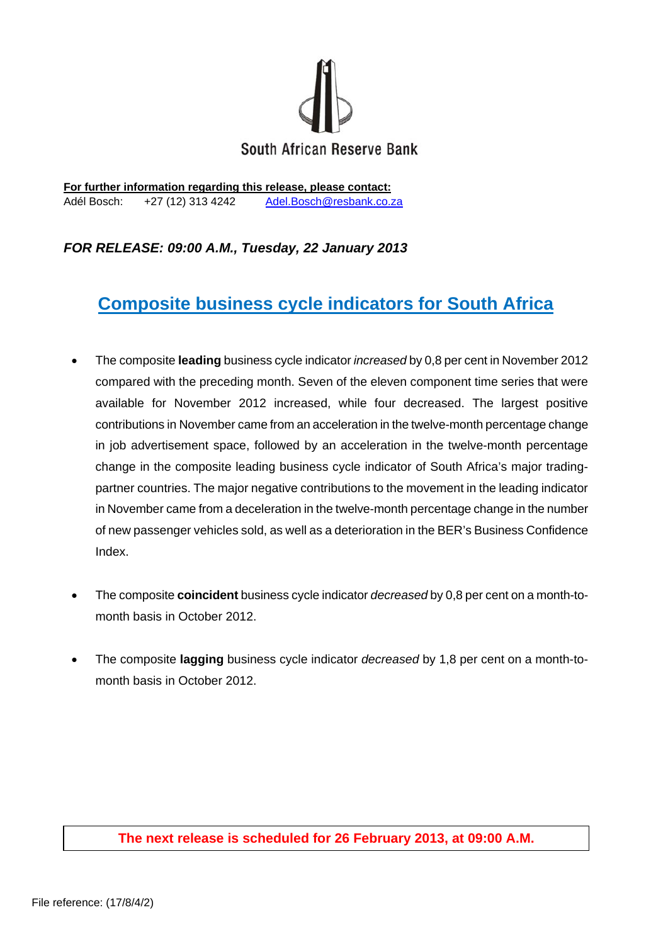

**For further information regarding this release, please contact:**  Adél Bosch: +27 (12) 313 4242 Adel.Bosch@resbank.co.za

# *FOR RELEASE: 09:00 A.M., Tuesday, 22 January 2013*

# **Composite business cycle indicators for South Africa**

- The composite **leading** business cycle indicator *increased* by 0,8 per cent in November 2012 compared with the preceding month. Seven of the eleven component time series that were available for November 2012 increased, while four decreased. The largest positive contributions in November came from an acceleration in the twelve-month percentage change in job advertisement space, followed by an acceleration in the twelve-month percentage change in the composite leading business cycle indicator of South Africa's major tradingpartner countries. The major negative contributions to the movement in the leading indicator in November came from a deceleration in the twelve-month percentage change in the number of new passenger vehicles sold, as well as a deterioration in the BER's Business Confidence Index.
- The composite **coincident** business cycle indicator *decreased* by 0,8 per cent on a month-tomonth basis in October 2012.
- The composite **lagging** business cycle indicator *decreased* by 1,8 per cent on a month-tomonth basis in October 2012.

### **The next release is scheduled for 26 February 2013, at 09:00 A.M.**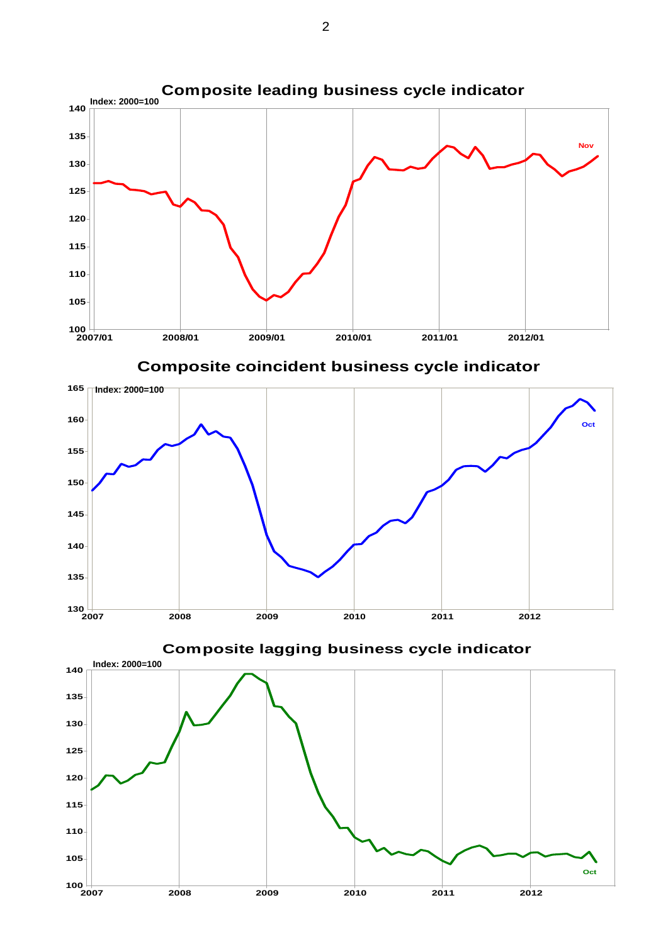

**Composite coincident business cycle indicator Composite coincident business cycle indicator**